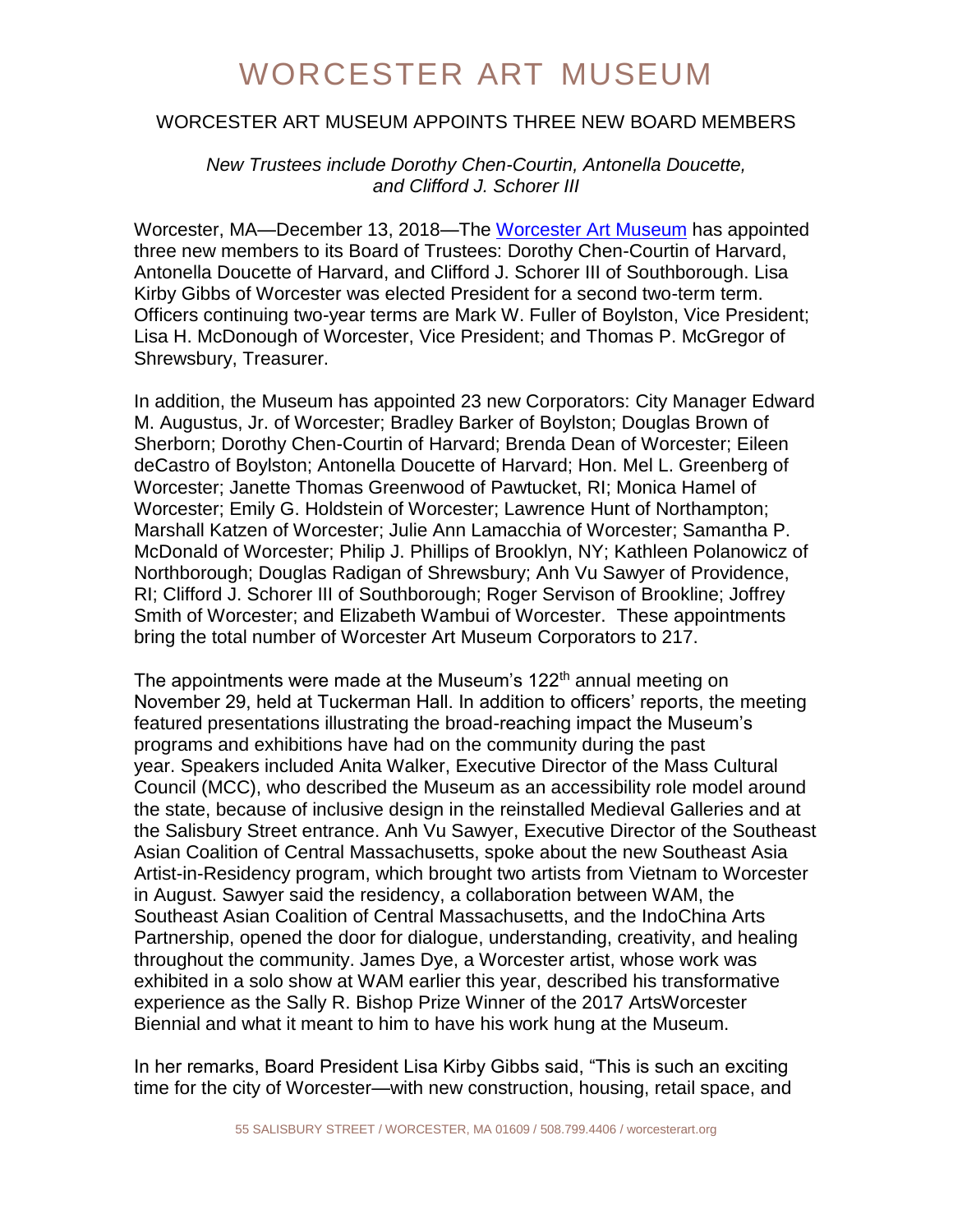### WORCESTER ART MUSEUM

#### WORCESTER ART MUSEUM APPOINTS THREE NEW BOARD MEMBERS

*New Trustees include Dorothy Chen-Courtin, Antonella Doucette, and Clifford J. Schorer III*

Worcester, MA—December 13, 2018—The [Worcester Art Museum](http://www.worcesterart.org/) has appointed three new members to its Board of Trustees: Dorothy Chen-Courtin of Harvard, Antonella Doucette of Harvard, and Clifford J. Schorer III of Southborough. Lisa Kirby Gibbs of Worcester was elected President for a second two-term term. Officers continuing two-year terms are Mark W. Fuller of Boylston, Vice President; Lisa H. McDonough of Worcester, Vice President; and Thomas P. McGregor of Shrewsbury, Treasurer.

In addition, the Museum has appointed 23 new Corporators: City Manager Edward M. Augustus, Jr. of Worcester; Bradley Barker of Boylston; Douglas Brown of Sherborn; Dorothy Chen-Courtin of Harvard; Brenda Dean of Worcester; Eileen deCastro of Boylston; Antonella Doucette of Harvard; Hon. Mel L. Greenberg of Worcester; Janette Thomas Greenwood of Pawtucket, RI; Monica Hamel of Worcester; Emily G. Holdstein of Worcester; Lawrence Hunt of Northampton; Marshall Katzen of Worcester; Julie Ann Lamacchia of Worcester; Samantha P. McDonald of Worcester; Philip J. Phillips of Brooklyn, NY; Kathleen Polanowicz of Northborough; Douglas Radigan of Shrewsbury; Anh Vu Sawyer of Providence, RI; Clifford J. Schorer III of Southborough; Roger Servison of Brookline; Joffrey Smith of Worcester; and Elizabeth Wambui of Worcester. These appointments bring the total number of Worcester Art Museum Corporators to 217.

The appointments were made at the Museum's  $122<sup>th</sup>$  annual meeting on November 29, held at Tuckerman Hall. In addition to officers' reports, the meeting featured presentations illustrating the broad-reaching impact the Museum's programs and exhibitions have had on the community during the past year. Speakers included Anita Walker, Executive Director of the Mass Cultural Council (MCC), who described the Museum as an accessibility role model around the state, because of inclusive design in the reinstalled Medieval Galleries and at the Salisbury Street entrance. Anh Vu Sawyer, Executive Director of the Southeast Asian Coalition of Central Massachusetts, spoke about the new Southeast Asia Artist-in-Residency program, which brought two artists from Vietnam to Worcester in August. Sawyer said the residency, a collaboration between WAM, the Southeast Asian Coalition of Central Massachusetts, and the IndoChina Arts Partnership, opened the door for dialogue, understanding, creativity, and healing throughout the community. James Dye, a Worcester artist, whose work was exhibited in a solo show at WAM earlier this year, described his transformative experience as the Sally R. Bishop Prize Winner of the 2017 ArtsWorcester Biennial and what it meant to him to have his work hung at the Museum.

In her remarks, Board President Lisa Kirby Gibbs said, "This is such an exciting time for the city of Worcester—with new construction, housing, retail space, and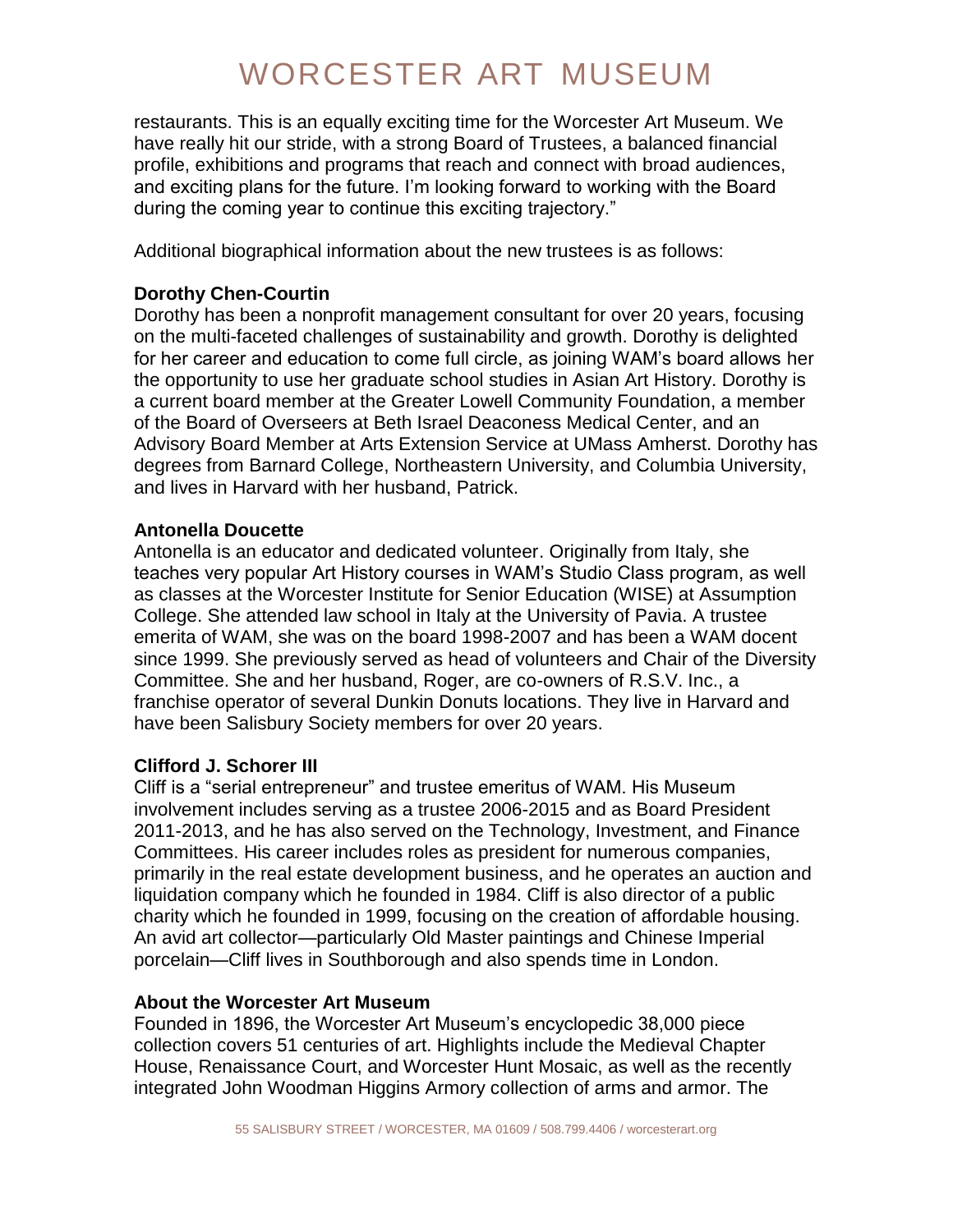# WORCESTER ART MUSEUM

restaurants. This is an equally exciting time for the Worcester Art Museum. We have really hit our stride, with a strong Board of Trustees, a balanced financial profile, exhibitions and programs that reach and connect with broad audiences, and exciting plans for the future. I'm looking forward to working with the Board during the coming year to continue this exciting trajectory."

Additional biographical information about the new trustees is as follows:

#### **Dorothy Chen-Courtin**

Dorothy has been a nonprofit management consultant for over 20 years, focusing on the multi-faceted challenges of sustainability and growth. Dorothy is delighted for her career and education to come full circle, as joining WAM's board allows her the opportunity to use her graduate school studies in Asian Art History. Dorothy is a current board member at the Greater Lowell Community Foundation, a member of the Board of Overseers at Beth Israel Deaconess Medical Center, and an Advisory Board Member at Arts Extension Service at UMass Amherst. Dorothy has degrees from Barnard College, Northeastern University, and Columbia University, and lives in Harvard with her husband, Patrick.

#### **Antonella Doucette**

Antonella is an educator and dedicated volunteer. Originally from Italy, she teaches very popular Art History courses in WAM's Studio Class program, as well as classes at the Worcester Institute for Senior Education (WISE) at Assumption College. She attended law school in Italy at the University of Pavia. A trustee emerita of WAM, she was on the board 1998-2007 and has been a WAM docent since 1999. She previously served as head of volunteers and Chair of the Diversity Committee. She and her husband, Roger, are co-owners of R.S.V. Inc., a franchise operator of several Dunkin Donuts locations. They live in Harvard and have been Salisbury Society members for over 20 years.

#### **Clifford J. Schorer III**

Cliff is a "serial entrepreneur" and trustee emeritus of WAM. His Museum involvement includes serving as a trustee 2006-2015 and as Board President 2011-2013, and he has also served on the Technology, Investment, and Finance Committees. His career includes roles as president for numerous companies, primarily in the real estate development business, and he operates an auction and liquidation company which he founded in 1984. Cliff is also director of a public charity which he founded in 1999, focusing on the creation of affordable housing. An avid art collector—particularly Old Master paintings and Chinese Imperial porcelain—Cliff lives in Southborough and also spends time in London.

#### **About the Worcester Art Museum**

Founded in 1896, the Worcester Art Museum's encyclopedic 38,000 piece collection covers 51 centuries of art. Highlights include the Medieval Chapter House, Renaissance Court, and Worcester Hunt Mosaic, as well as the recently integrated John Woodman Higgins Armory collection of arms and armor. The